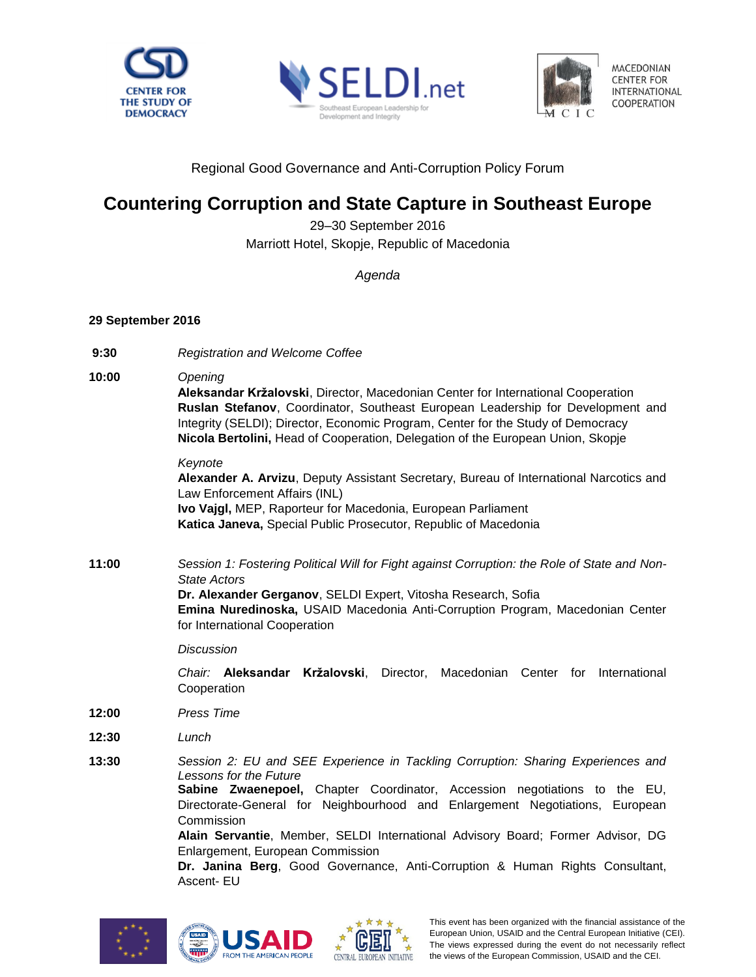





MACEDONIAN **CENTER FOR INTERNATIONAL** COOPERATION

Regional Good Governance and Anti-Corruption Policy Forum

# **Countering Corruption and State Capture in Southeast Europe**

29–30 September 2016 Marriott Hotel, Skopje, Republic of Macedonia

*Agenda*

## **29 September 2016**

- **9:30** *Registration and Welcome Coffee*
- **10:00** *Opening*

**Aleksandar Kržalovski**, Director, Macedonian Center for International Cooperation **Ruslan Stefanov**, Coordinator, Southeast European Leadership for Development and Integrity (SELDI); Director, Economic Program, Center for the Study of Democracy **Nicola Bertolini,** Head of Cooperation, Delegation of the European Union, Skopje

### *Keynote*

**Alexander A. Arvizu**, Deputy Assistant Secretary, Bureau of International Narcotics and Law Enforcement Affairs (INL) **Ivo Vajgl,** MEP, Raporteur for Macedonia, European Parliament **Katica Janeva,** Special Public Prosecutor, Republic of Macedonia

**11:00** *Session 1: Fostering Political Will for Fight against Corruption: the Role of State and Non-State Actors* **Dr. Alexander Gerganov**, SELDI Expert, Vitosha Research, Sofia **Emina Nuredinoska,** USAID Macedonia Anti-Corruption Program, Macedonian Center

*Discussion*

for International Cooperation

*Chair:* **Aleksandar Kržalovski**, Director, Macedonian Center for International Cooperation

- **12:00** *Press Time*
- **12:30** *Lunch*
- **13:30** *Session 2: EU and SEE Experience in Tackling Corruption: Sharing Experiences and Lessons for the Future*

**Sabine Zwaenepoel,** Chapter Coordinator, Accession negotiations to the EU, Directorate-General for Neighbourhood and Enlargement Negotiations, European Commission

**Alain Servantie**, Member, SELDI International Advisory Board; Former Advisor, DG Enlargement, European Commission

**Dr. Janina Berg**, Good Governance, Anti-Corruption & Human Rights Consultant, Ascent- EU